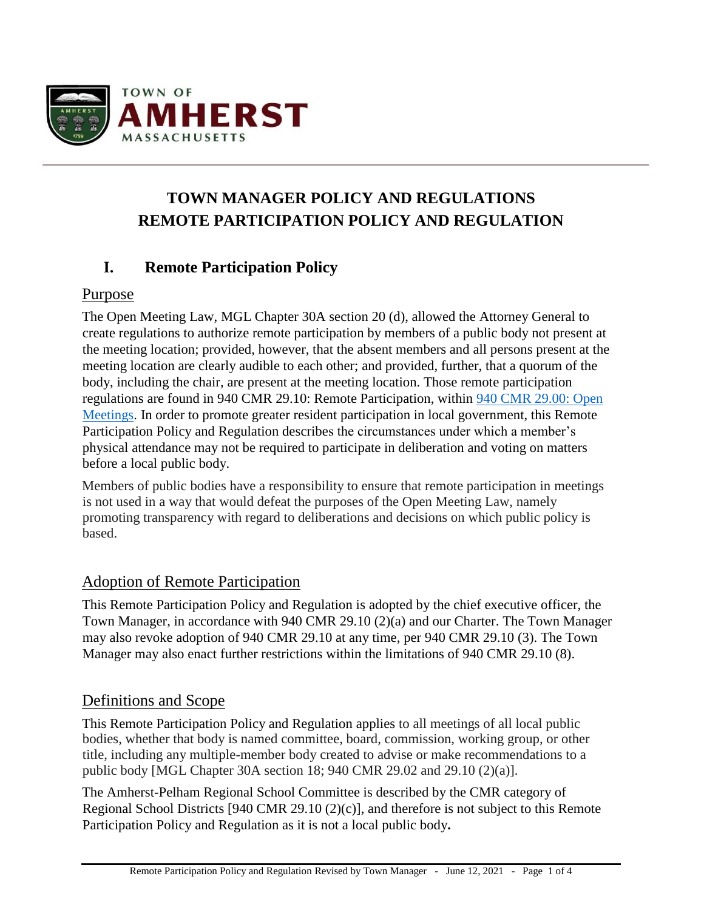

# **TOWN MANAGER POLICY AND REGULATIONS REMOTE PARTICIPATION POLICY AND REGULATION**

# **I. Remote Participation Policy**

### Purpose

The Open Meeting Law, MGL Chapter 30A section 20 (d), allowed the Attorney General to create regulations to authorize remote participation by members of a public body not present at the meeting location; provided, however, that the absent members and all persons present at the meeting location are clearly audible to each other; and provided, further, that a quorum of the body, including the chair, are present at the meeting location. Those remote participation regulations are found in 940 CMR 29.10: Remote Participation, within [940 CMR 29.00: Open](https://www.mass.gov/regulations/940-CMR-2900-open-meetings)  [Meetings.](https://www.mass.gov/regulations/940-CMR-2900-open-meetings) In order to promote greater resident participation in local government, this Remote Participation Policy and Regulation describes the circumstances under which a member's physical attendance may not be required to participate in deliberation and voting on matters before a local public body.

Members of public bodies have a responsibility to ensure that remote participation in meetings is not used in a way that would defeat the purposes of the Open Meeting Law, namely promoting transparency with regard to deliberations and decisions on which public policy is based.

### Adoption of Remote Participation

This Remote Participation Policy and Regulation is adopted by the chief executive officer, the Town Manager, in accordance with 940 CMR 29.10 (2)(a) and our Charter. The Town Manager may also revoke adoption of 940 CMR 29.10 at any time, per 940 CMR 29.10 (3). The Town Manager may also enact further restrictions within the limitations of 940 CMR 29.10 (8).

### Definitions and Scope

This Remote Participation Policy and Regulation applies to all meetings of all local public bodies, whether that body is named committee, board, commission, working group, or other title, including any multiple-member body created to advise or make recommendations to a public body [MGL Chapter 30A section 18; 940 CMR 29.02 and 29.10 (2)(a)].

The Amherst-Pelham Regional School Committee is described by the CMR category of Regional School Districts [940 CMR 29.10 (2)(c)], and therefore is not subject to this Remote Participation Policy and Regulation as it is not a local public body**.**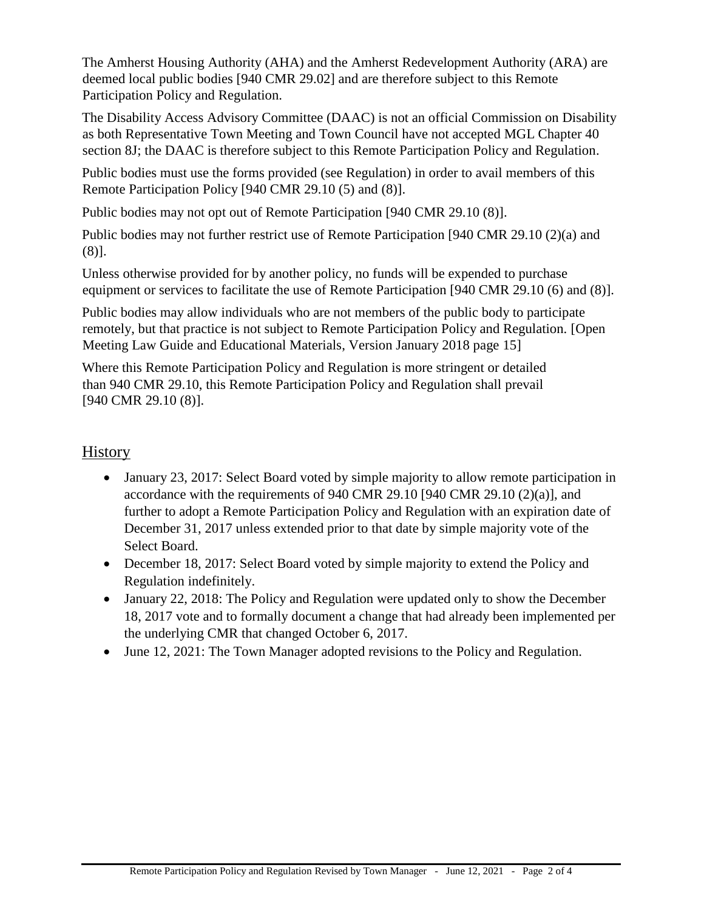The Amherst Housing Authority (AHA) and the Amherst Redevelopment Authority (ARA) are deemed local public bodies [940 CMR 29.02] and are therefore subject to this Remote Participation Policy and Regulation.

The Disability Access Advisory Committee (DAAC) is not an official Commission on Disability as both Representative Town Meeting and Town Council have not accepted MGL Chapter 40 section 8J; the DAAC is therefore subject to this Remote Participation Policy and Regulation.

Public bodies must use the forms provided (see Regulation) in order to avail members of this Remote Participation Policy [940 CMR 29.10 (5) and (8)].

Public bodies may not opt out of Remote Participation [940 CMR 29.10 (8)].

Public bodies may not further restrict use of Remote Participation [940 CMR 29.10 (2)(a) and (8)].

Unless otherwise provided for by another policy, no funds will be expended to purchase equipment or services to facilitate the use of Remote Participation [940 CMR 29.10 (6) and (8)].

Public bodies may allow individuals who are not members of the public body to participate remotely, but that practice is not subject to Remote Participation Policy and Regulation. [Open Meeting Law Guide and Educational Materials, Version January 2018 page 15]

Where this Remote Participation Policy and Regulation is more stringent or detailed than 940 CMR 29.10, this Remote Participation Policy and Regulation shall prevail [940 CMR 29.10 (8)].

### **History**

- January 23, 2017: Select Board voted by simple majority to allow remote participation in accordance with the requirements of 940 CMR 29.10 [940 CMR 29.10  $(2)(a)$ ], and further to adopt a Remote Participation Policy and Regulation with an expiration date of December 31, 2017 unless extended prior to that date by simple majority vote of the Select Board.
- December 18, 2017: Select Board voted by simple majority to extend the Policy and Regulation indefinitely.
- January 22, 2018: The Policy and Regulation were updated only to show the December 18, 2017 vote and to formally document a change that had already been implemented per the underlying CMR that changed October 6, 2017.
- June 12, 2021: The Town Manager adopted revisions to the Policy and Regulation.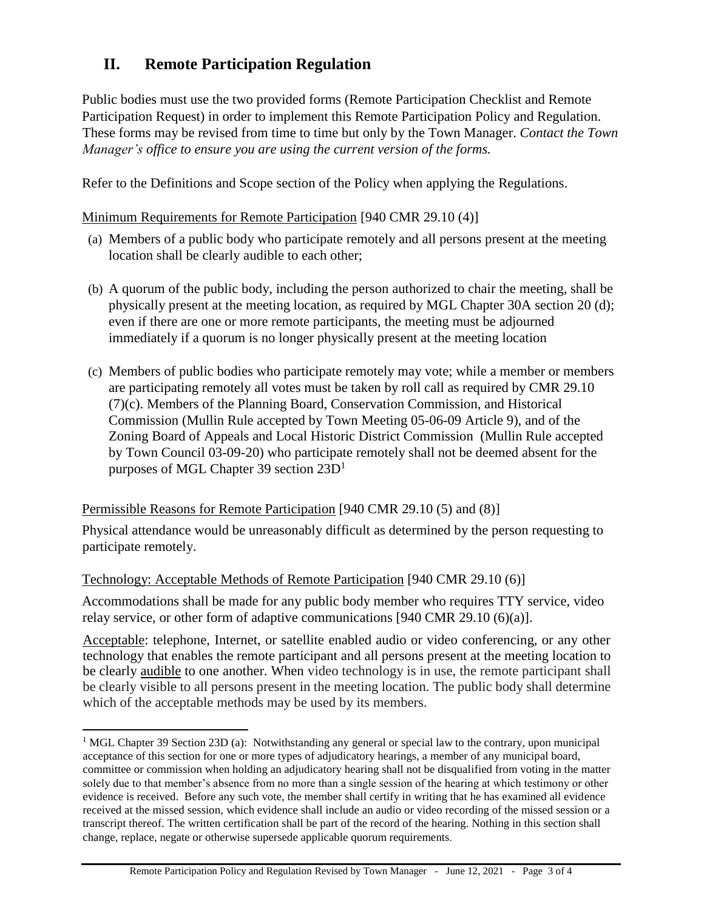## **II. Remote Participation Regulation**

Public bodies must use the two provided forms (Remote Participation Checklist and Remote Participation Request) in order to implement this Remote Participation Policy and Regulation. These forms may be revised from time to time but only by the Town Manager. *Contact the Town Manager's office to ensure you are using the current version of the forms.* 

Refer to the Definitions and Scope section of the Policy when applying the Regulations.

#### Minimum Requirements for Remote Participation [940 CMR 29.10 (4)]

- (a) Members of a public body who participate remotely and all persons present at the meeting location shall be clearly audible to each other;
- (b) A quorum of the public body, including the person authorized to chair the meeting, shall be physically present at the meeting location, as required by MGL Chapter 30A section 20 (d); even if there are one or more remote participants, the meeting must be adjourned immediately if a quorum is no longer physically present at the meeting location
- (c) Members of public bodies who participate remotely may vote; while a member or members are participating remotely all votes must be taken by roll call as required by CMR 29.10 (7)(c). Members of the Planning Board, Conservation Commission, and Historical Commission (Mullin Rule accepted by Town Meeting 05-06-09 Article 9), and of the Zoning Board of Appeals and Local Historic District Commission (Mullin Rule accepted by Town Council 03-09-20) who participate remotely shall not be deemed absent for the purposes of MGL Chapter 39 section  $23D<sup>1</sup>$

#### Permissible Reasons for Remote Participation [940 CMR 29.10 (5) and (8)]

Physical attendance would be unreasonably difficult as determined by the person requesting to participate remotely.

Technology: Acceptable Methods of Remote Participation [940 CMR 29.10 (6)]

l

Accommodations shall be made for any public body member who requires TTY service, video relay service, or other form of adaptive communications [940 CMR 29.10 (6)(a)].

Acceptable: telephone, Internet, or satellite enabled audio or video conferencing, or any other technology that enables the remote participant and all persons present at the meeting location to be clearly audible to one another. When video technology is in use, the remote participant shall be clearly visible to all persons present in the meeting location. The public body shall determine which of the acceptable methods may be used by its members.

<sup>&</sup>lt;sup>1</sup> MGL Chapter 39 Section 23D (a): Notwithstanding any general or special law to the contrary, upon municipal acceptance of this section for one or more types of adjudicatory hearings, a member of any municipal board, committee or commission when holding an adjudicatory hearing shall not be disqualified from voting in the matter solely due to that member's absence from no more than a single session of the hearing at which testimony or other evidence is received. Before any such vote, the member shall certify in writing that he has examined all evidence received at the missed session, which evidence shall include an audio or video recording of the missed session or a transcript thereof. The written certification shall be part of the record of the hearing. Nothing in this section shall change, replace, negate or otherwise supersede applicable quorum requirements*.*